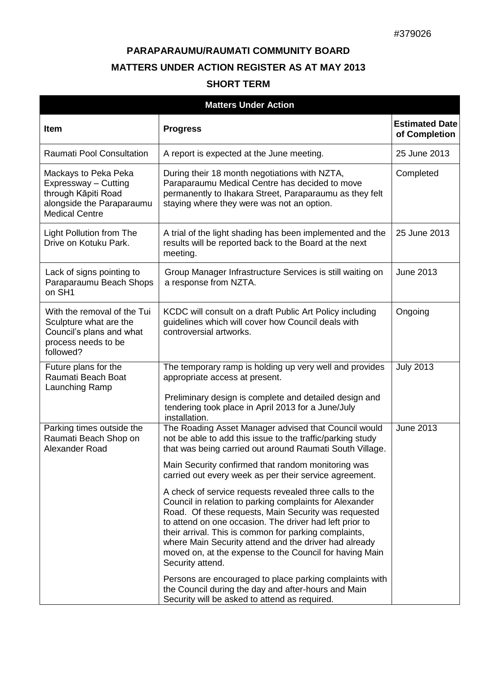## **PARAPARAUMU/RAUMATI COMMUNITY BOARD MATTERS UNDER ACTION REGISTER AS AT MAY 2013**

## **SHORT TERM**

| <b>Matters Under Action</b>                                                                                               |                                                                                                                                                                                                                                                                                                                                                                                                                                                                                                                                                                                                                                                                                                                                                                                                                                                                                                             |                                        |  |  |
|---------------------------------------------------------------------------------------------------------------------------|-------------------------------------------------------------------------------------------------------------------------------------------------------------------------------------------------------------------------------------------------------------------------------------------------------------------------------------------------------------------------------------------------------------------------------------------------------------------------------------------------------------------------------------------------------------------------------------------------------------------------------------------------------------------------------------------------------------------------------------------------------------------------------------------------------------------------------------------------------------------------------------------------------------|----------------------------------------|--|--|
| <b>Item</b>                                                                                                               | <b>Progress</b>                                                                                                                                                                                                                                                                                                                                                                                                                                                                                                                                                                                                                                                                                                                                                                                                                                                                                             | <b>Estimated Date</b><br>of Completion |  |  |
| Raumati Pool Consultation                                                                                                 | A report is expected at the June meeting.                                                                                                                                                                                                                                                                                                                                                                                                                                                                                                                                                                                                                                                                                                                                                                                                                                                                   | 25 June 2013                           |  |  |
| Mackays to Peka Peka<br>Expressway - Cutting<br>through Kāpiti Road<br>alongside the Paraparaumu<br><b>Medical Centre</b> | During their 18 month negotiations with NZTA,<br>Paraparaumu Medical Centre has decided to move<br>permanently to Ihakara Street, Paraparaumu as they felt<br>staying where they were was not an option.                                                                                                                                                                                                                                                                                                                                                                                                                                                                                                                                                                                                                                                                                                    | Completed                              |  |  |
| <b>Light Pollution from The</b><br>Drive on Kotuku Park.                                                                  | A trial of the light shading has been implemented and the<br>results will be reported back to the Board at the next<br>meeting.                                                                                                                                                                                                                                                                                                                                                                                                                                                                                                                                                                                                                                                                                                                                                                             | 25 June 2013                           |  |  |
| Lack of signs pointing to<br>Paraparaumu Beach Shops<br>on SH1                                                            | Group Manager Infrastructure Services is still waiting on<br>a response from NZTA.                                                                                                                                                                                                                                                                                                                                                                                                                                                                                                                                                                                                                                                                                                                                                                                                                          | <b>June 2013</b>                       |  |  |
| With the removal of the Tui<br>Sculpture what are the<br>Council's plans and what<br>process needs to be<br>followed?     | KCDC will consult on a draft Public Art Policy including<br>guidelines which will cover how Council deals with<br>controversial artworks.                                                                                                                                                                                                                                                                                                                                                                                                                                                                                                                                                                                                                                                                                                                                                                   | Ongoing                                |  |  |
| Future plans for the<br>Raumati Beach Boat<br>Launching Ramp                                                              | The temporary ramp is holding up very well and provides<br>appropriate access at present.<br>Preliminary design is complete and detailed design and<br>tendering took place in April 2013 for a June/July<br>installation.                                                                                                                                                                                                                                                                                                                                                                                                                                                                                                                                                                                                                                                                                  | <b>July 2013</b>                       |  |  |
| Parking times outside the<br>Raumati Beach Shop on<br>Alexander Road                                                      | The Roading Asset Manager advised that Council would<br>not be able to add this issue to the traffic/parking study<br>that was being carried out around Raumati South Village.<br>Main Security confirmed that random monitoring was<br>carried out every week as per their service agreement.<br>A check of service requests revealed three calls to the<br>Council in relation to parking complaints for Alexander<br>Road. Of these requests, Main Security was requested<br>to attend on one occasion. The driver had left prior to<br>their arrival. This is common for parking complaints,<br>where Main Security attend and the driver had already<br>moved on, at the expense to the Council for having Main<br>Security attend.<br>Persons are encouraged to place parking complaints with<br>the Council during the day and after-hours and Main<br>Security will be asked to attend as required. | <b>June 2013</b>                       |  |  |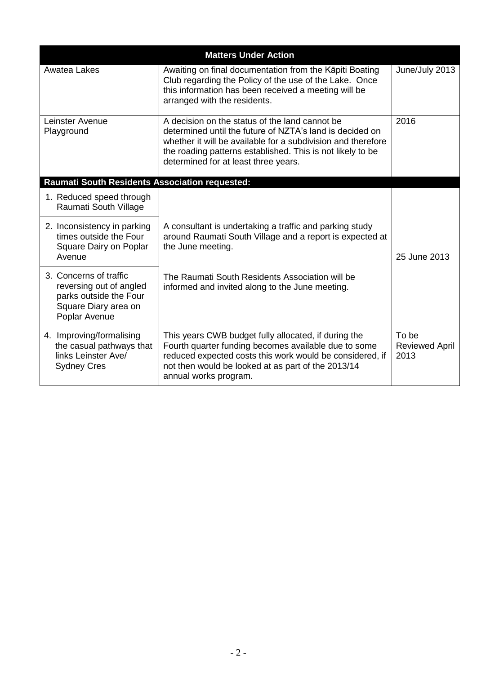| <b>Matters Under Action</b>                                                                                          |                                                                                                                                                                                                                                                                                  |                                        |  |  |
|----------------------------------------------------------------------------------------------------------------------|----------------------------------------------------------------------------------------------------------------------------------------------------------------------------------------------------------------------------------------------------------------------------------|----------------------------------------|--|--|
| Awatea Lakes                                                                                                         | Awaiting on final documentation from the Kāpiti Boating<br>Club regarding the Policy of the use of the Lake. Once<br>this information has been received a meeting will be<br>arranged with the residents.                                                                        | June/July 2013                         |  |  |
| Leinster Avenue<br>Playground                                                                                        | A decision on the status of the land cannot be<br>determined until the future of NZTA's land is decided on<br>whether it will be available for a subdivision and therefore<br>the roading patterns established. This is not likely to be<br>determined for at least three years. | 2016                                   |  |  |
| <b>Raumati South Residents Association requested:</b>                                                                |                                                                                                                                                                                                                                                                                  |                                        |  |  |
| 1. Reduced speed through<br>Raumati South Village                                                                    |                                                                                                                                                                                                                                                                                  |                                        |  |  |
| 2. Inconsistency in parking<br>times outside the Four<br>Square Dairy on Poplar<br>Avenue                            | A consultant is undertaking a traffic and parking study<br>around Raumati South Village and a report is expected at<br>the June meeting.                                                                                                                                         | 25 June 2013                           |  |  |
| 3. Concerns of traffic<br>reversing out of angled<br>parks outside the Four<br>Square Diary area on<br>Poplar Avenue | The Raumati South Residents Association will be<br>informed and invited along to the June meeting.                                                                                                                                                                               |                                        |  |  |
| 4. Improving/formalising<br>the casual pathways that<br>links Leinster Ave/<br><b>Sydney Cres</b>                    | This years CWB budget fully allocated, if during the<br>Fourth quarter funding becomes available due to some<br>reduced expected costs this work would be considered, if<br>not then would be looked at as part of the 2013/14<br>annual works program.                          | To be<br><b>Reviewed April</b><br>2013 |  |  |